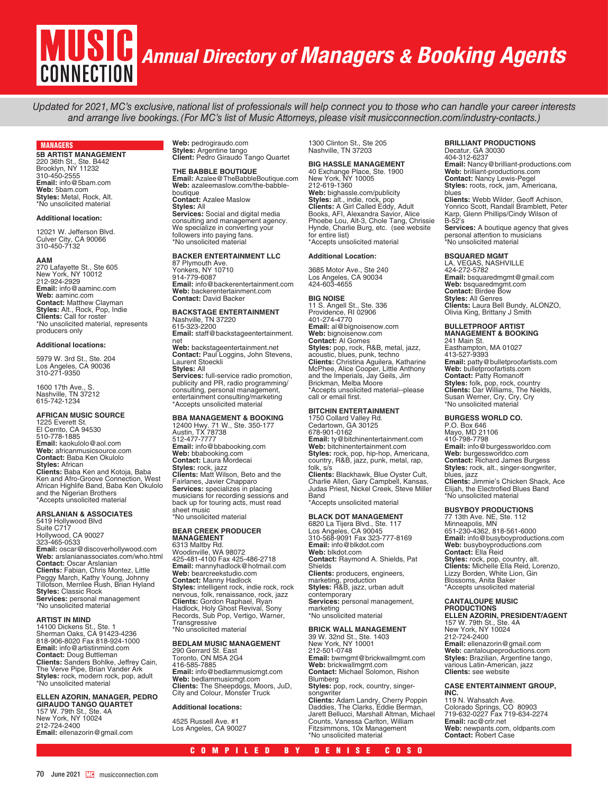# *Annual Directory of Managers & Booking Agents* CONNECTION

Updated for 2021, MC's exclusive, national list of professionals will help connect you to those who can handle your career interests and arrange live bookings. (For MC's list of Music Attorneys, please visit musicconnection.com/industry-contacts.)

# MANAGERS

**5B ARTIST MANAGEMENT** 220 36th St., Ste. B442 Brooklyn, NY 11232 310-450-2555 **Email:** info@5bam.com **Web:** 5bam.com **Styles:** Metal, Rock, Alt. \*No unsolicited material

### **Additional location:**

12021 W. Jefferson Blvd. Culver City, CA 90066 310-450-7132

**AAM** 270 Lafayette St., Ste 605 New York, NY 10012 212-924-2929 **Email:** info@aaminc.com **Web:** aaminc.com **Contact:** Matthew Clayman **Styles:** Alt., Rock, Pop, Indie **Clients:** Call for roster \*No unsolicited material, represents producers only

### **Additional locations:**

5979 W. 3rd St., Ste. 204 Los Angeles, CA 90036 310-271-9350

1600 17th Ave., S. Nashville, TN 37212 615-742-1234

# **AFRICAN MUSIC SOURCE**

1225 Everett St. El Cerrito, CA 94530 510-778-1885 **Email:** kaokulolo@aol.com **Web:** africanmusicsource.com **Contact:** Baba Ken Okulolo **Styles:** African **Clients:** Baba Ken and Kotoja, Baba Ken and Afro-Groove Connection, West African Highlife Band, Baba Ken Okulolo and the Nigerian Brothers \*Accepts unsolicited material

# **ARSLANIAN & ASSOCIATES**  5419 Hollywood Blvd

Suite C717 Hollywood, CA 90027 323-465-0533 **Email:** oscar@discoverhollywood.com **Web:** arslanianassociates.com/who.html **Contact:** Oscar Arslanian **Clients:** Fabian, Chris Montez, Little Peggy March, Kathy Young, Johnny Tillotson, Merrilee Rush, Brian Hyland **Styles:** Classic Rock **Services:** personal management \*No unsolicited material

### **ARTIST IN MIND**

14100 Dickens St., Ste. 1 Sherman Oaks, CA 91423-4236 818-906-8020 Fax 818-924-1000 **Email:** info@artistinmind.com **Contact:** Doug Buttleman **Clients:** Sanders Bohlke, Jeffrey Cain, The Verve Pipe, Brian Vander Ark **Styles:** rock, modern rock, pop, adult \*No unsolicited material

# **ELLEN AZORIN, MANAGER, PEDRO**

**GIRAUDO TANGO QUARTET** 157 W. 79th St., Ste. 4A New York, NY 10024 212-724-2400 **Email:** ellenazorin@gmail.com **Web:** pedrogiraudo.com **Styles:** Argentine tango **Client:** Pedro Giraudo Tango Quartet

# **THE BABBLE BOUTIQUE**

**Email:** Azalee@TheBabbleBoutique.com **Web:** azaleemaslow.com/the-babbleboutique **Contact:** Azalee Maslow **Styles:** All **Services:** Social and digital media consulting and management agency. We specialize in converting your followers into paying fans. \*No unsolicited material

## **BACKER ENTERTAINMENT LLC**

87 Plymouth Ave. Yonkers, NY 10710 914-779-6087 **Email:** info@backerentertainment.com **Web:** backerentertainment.com **Contact:** David Backer

## **BACKSTAGE ENTERTAINMENT** Nashville, TN 37220

615-323-2200 **Email:** staff@backstageentertainment. net

**Web:** backstageentertainment.net **Contact:** Paul Loggins, John Stevens, Laurent Stoeckli **Styles:** All

**Services:** full-service radio promotion, publicity and PR, radio programming/ consulting, personal management, entertainment consulting/marketing \*Accepts unsolicited material

# **BBA MANAGEMENT & BOOKING**

12400 Hwy. 71 W., Ste. 350-177 Austin, TX 78738 512-477-7777 **Email:** info@bbabooking.com **Web:** bbabooking.com **Contact:** Laura Mordecai **Styles:** rock, jazz **Clients:** Matt Wilson, Beto and the<br>Fairlanes, Javier Chapparo **Services:** specializes in placing musicians for recording sessions and back up for touring acts, must read sheet music \*No unsolicited material

# **BEAR CREEK PRODUCER**

**MANAGEMENT** 6313 Maltby Rd. Woodinville, WA 98072 425-481-4100 Fax 425-486-2718 **Email:** mannyhadlock@hotmail.com **Web:** bearcreekstudio.com **Contact:** Manny Hadlock **Styles:** intelligent rock, indie rock, rock nervous, folk, renaissance, rock, jazz **Clients:** Gordon Raphael, Ryan<br>Hadlock, Holy Ghost Revival, Sony<br>Records, Sub Pop, Vertigo, Warner, Transgressive \*No unsolicited material

# **BEDLAM MUSIC MANAGEMENT**

290 Gerrard St. East Toronto, ON M5A 2G4 416-585-7885 **Email:** info@bedlammusicmgt.com **Web:** bedlammusicmgt.com **Clients:** The Sheepdogs, Moors, JuD, City and Colour, Monster Truck

# **Additional locations:**

4525 Russell Ave. #1 Los Angeles, CA 90027 1300 Clinton St., Ste 205 Nashville, TN 37203

# **BIG HASSLE MANAGEMENT**

40 Exchange Place, Ste. 1900 New York, NY 10005 212-619-1360 **Web:** bighassle.com/publicity **Styles:** alt., indie, rock, pop<br>**Clients:** A Girl Called Eddy, Adult<br>Books, AFI, Alexandra Savior, Alice Phoebe Lou, Alt-3, Chole Tang, Chrissie Hynde, Charlie Burg, etc. (see website for entire list) \*Accepts unsolicited material

## **Additional Location:**

3685 Motor Ave., Ste 240 Los Angeles, CA 90034 424-603-4655

**BIG NOISE**

11 S. Angell St., Ste. 336 Providence, RI 02906 401-274-4770 **Email:** al@bignoisenow.com **Web:** bignoisenow.com **Contact:** Al Gomes **Styles:** pop, rock, R&B, metal, jazz,<br>acoustic, blues, punk, techno<br>**Clients:** Christina Aguilera, Katharine McPhee, Alice Cooper, Little Anthony and the Imperials, Jay Geils, Jim Brickman, Melba Moore \*Accepts unsolicited material--please call or email first.

# **BITCHIN ENTERTAINMENT**

1750 Collard Valley Rd. Cedartown, GA 30125 678-901-0162 **Email:** ty@bitchinentertainment.com **Web:** bitchinentertainment.com **Styles:** rock, pop, hip-hop, Americana,<br>country, R&B, jazz, punk, metal, rap,<br>folk, s/s **Clients:** Blackhawk, Blue Oyster Cult,<br>Charlie Allen, Gary Campbell, Kansas,<br>Judas Priest, Nickel Creek, Steve Miller Band \*Accepts unsolicited material

**BLACK DOT MANAGEMENT**<br>6820 La Tijera Blvd., Ste. 117<br>Los Angeles, CA 90045 310-568-9091 Fax 323-777-8169 **Email:** info@blkdot.com **Web:** blkdot.com **Contact:** Raymond A. Shields, Pat Shields **Clients:** producers, engineers, marketing, production **Styles:** R&B, jazz, urban adult contemporary **Services:** personal management, marketing \*No unsolicited material

# **BRICK WALL MANAGEMENT**

39 W. 32nd St., Ste. 1403 New York, NY 10001 212-501-0748 **Email:** bwmgmt@brickwallmgmt.com **Web:** brickwallmgmt.com **Contact:** Michael Solomon, Rishon **Blumberg** Styles: pop, rock, country, singersongwriter **Clients:** Adam Landry, Cherry Poppin Daddies, The Clarks, Eddie Berman, Jarett Bellucci, Marshall Altman, Michael Counts, Vanessa Carlton, William Fitzsimmons, 10x Management \*No unsolicited material

# **BRILLIANT PRODUCTIONS**

Decatur, GA 30030 404-312-6237 **Email:** Nancy@brilliant-productions.com **Web:** brilliant-productions.com **Contact:** Nancy Lewis-Pegel **Styles:** roots, rock, jam, Americana, blues **Clients:** Webb Wilder, Geoff Achison,<br>Yonrico Scott, Randall Bramblett, Peter<br>Karp, Glenn Phillips/Cindy Wilson of  $B-52$ 's **Services:** A boutique agency that gives personal attention to musicians \*No unsolicited material

# **BSQUARED MGMT**

LA, VEGAS, NASHVILLE 424-272-5782 **Email:** bsquaredmgmt@gmail.com **Web:** bsquaredmgmt.com **Contact:** Birdee Bow **Styles:** All Genres **Clients:** Laura Bell Bundy, ALONZO,<br>Olivia King, Brittany J Smith

# **BULLETPROOF ARTIST MANAGEMENT & BOOKING** 241 Main St.

Easthampton, MA 01027 413-527-9393 **Email:** patty@bulletproofartists.com **Web:** bulletproofartists.com **Contact:** Patty Romanoff **Styles:** folk, pop, rock, country **Clients:** Dar Williams, The Nields,<br>Susan Werner, Cry, Cry, Cry<br>\*No unsolicited material

# **BURGESS WORLD CO.**

P.O. Box 646 Mayo, MD 21106 410-798-7798 **Email:** info@burgessworldco.com **Web:** burgessworldco.com **Contact:** Richard James Burgess **Styles:** rock, alt., singer-songwriter, blues, jazz **Clients:** Jimmie's Chicken Shack, Ace Elijah, the Electrofied Blues Band \*No unsolicited material

# **BUSYBOY PRODUCTIONS**

77 13th Ave. NE, Ste. 112 Minneapolis, MN 651-230-4362, 818-561-6000 **Email:** info@busyboyproductions.com **Web:** busyboyproductions.com **Contact:** Ella Reid **Styles:** rock, pop, country, alt. **Clients:** Michelle Ella Reid, Lorenzo, Lizzy Borden, White Lion, Gin Blossoms, Anita Baker \*Accepts unsolicited material

# **CANTALOUPE MUSIC PRODUCTIONS ELLEN AZORIN, PRESIDENT/AGENT**

157 W. 79th St., Ste. 4A New York, NY 10024 212-724-2400 **Email:** ellenazorin@gmail.com **Web:** cantaloupeproductions.com **Styles:** Brazilian, Argentine tango, various Latin-American, jazz **Clients:** see website

# **CASE ENTERTAINMENT GROUP,**

**INC.** 119 N. Wahsatch Ave. Colorado Springs, CO 80903 719-632-0227 Fax 719-634-2274 **Email:** rac@crlr.net **Web:** newpants.com, oldpants.com **Contact:** Robert Case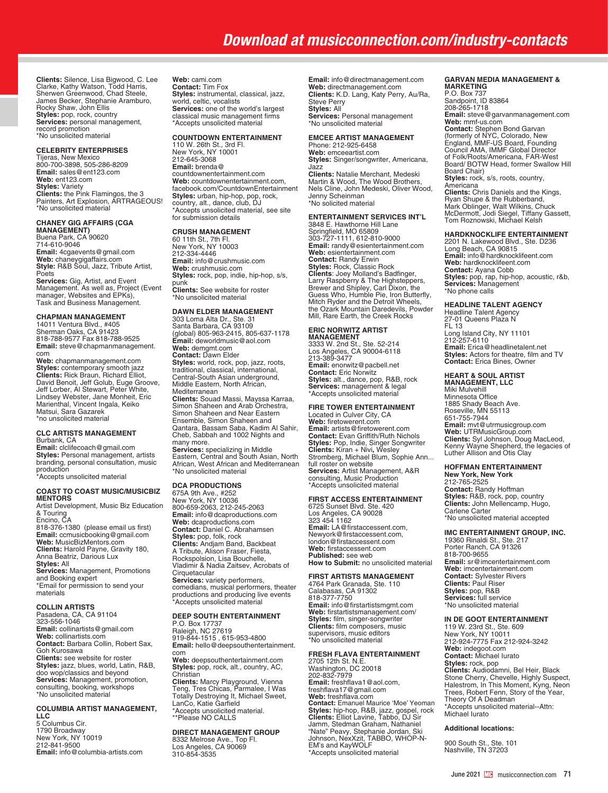# *Download at musicconnection.com/industry-contacts*

**Clients:** Silence, Lisa Bigwood, C. Lee<br>Clarke, Kathy Watson, Todd Harris,<br>Sherwen Greenwood, Chad Steele, James Becker, Stephanie Aramburo, Rocky Shaw, John Ellis **Styles:** pop, rock, country **Services:** personal management, record promotion \*No unsolicited material

### **CELEBRITY ENTERPRISES**

Tijeras, New Mexico 800-700-3898, 505-286-8209 **Email:** sales@ent123.com **Web:** ent123.com **Styles:** Variety **Clients:** the Pink Flamingos, the 3 Painters, Art Explosion, ARTRAGEOUS! \*No unsolicited material

# **CHANEY GIG AFFAIRS (CGA**

**MANAGEMENT)** Buena Park, CA 90620 714-610-9046 **Email:** 4cgaevents@gmail.com **Web:** chaneygigaffairs.com **Style:** R&B Soul, Jazz, Tribute Artist, Poets

**Services:** Gig, Artist, and Event<br>Management. As well as, Project (Event manager, Websites and EPKs), Task and Business Management.

# **CHAPMAN MANAGEMENT**

14011 Ventura Blvd., #405 Sherman Oaks, CA 91423 818-788-9577 Fax 818-788-9525 **Email:** steve@chapmanmanagement. com

**Web:** chapmanmanagement.com **Styles:** contemporary smooth jazz **Clients:** Rick Braun, Richard Elliot, David Benoit, Jeff Golub, Euge Groove, Jeff Lorber, Al Stewart, Peter White, Lindsey Webster, Jane Monheit, Eric Marienthal, Vincent Ingala, Keiko Matsui, Sara Gazarek \*no unsolicited material

# **CLC ARTISTS MANAGEMENT**

Burbank, CA **Email:** clclifecoach@gmail.com **Styles:** Personal management, artists branding, personal consultation, music production \*Accepts unsolicited material

### **COAST TO COAST MUSIC/MUSICBIZ MENTORS**

Artist Development, Music Biz Education & Touring Encino, CA 818-376-1380 (please email us first) **Email:** ccmusicbooking@gmail.com **Web:** MusicBizMentors.com **Clients:** Harold Payne, Gravity 180, Anna Beatriz, Darious Lux **Styles:** All **Services:** Management, Promotions and Booking expert \*Email for permission to send your materials

# **COLLIN ARTISTS**

Pasadena, CA, CA 91104 323-556-1046 **Email:** collinartists@gmail.com **Web:** collinartists.com **Contact:** Barbara Collin, Robert Sax, Goh Kurosawa **Clients:** see website for roster **Styles:** jazz, blues, world, Latin, R&B, doo wop/classics and beyond **Services:** Management, promotion, consulting, booking, workshops \*No unsolicited material

# **COLUMBIA ARTIST MANAGEMENT,**

**LLC** 5 Columbus Cir. 1790 Broadway New York, NY 10019 212-841-9500 **Email:** info@columbia-artists.com **Web:** cami.com **Contact:** Tim Fox **Styles:** instrumental, classical, jazz, world, celtic, vocalists **Services:** one of the world's largest classical music management firms \*Accepts unsolicited material

# **COUNTDOWN ENTERTAINMENT**

110 W. 26th St., 3rd Fl. New York, NY 10001 212-645-3068 **Email:** brenda@ countdownentertainment.com **Web:** countdownentertainment.com, facebook.com/CountdownEntertainment **Styles:** urban, hip-hop, pop, rock, country, alt., dance, club, DJ \*Accepts unsolicited material, see site for submission details

# **CRUSH MANAGEMENT**

60 11th St., 7th Fl. New York, NY 10003 212-334-4446 **Email:** info@crushmusic.com **Web:** crushmusic.com **Styles:** rock, pop, indie, hip-hop, s/s, punk **Clients:** See website for roster

\*No unsolicited material

# **DAWN ELDER MANAGEMENT**

303 Loma Alta Dr., Ste. 31 Santa Barbara, CA 93109 (global) 805-963-2415, 805-637-1178 **Email:** deworldmusic@aol.com **Web:** demgmt.com **Contact:** Dawn Elder **Styles:** world, rock, pop, jazz, roots, traditional, classical, international, Central-South Asian underground, Middle Eastern, North African, Mediterranean **Clients:** Souad Massi, Mayssa Karraa, Simon Shaheen and Arab Orchestra, Simon Shaheen and Near Eastern Ensemble, Simon Shaheen and Qantara, Bassam Saba, Kadim Al Sahir, Cheb, Sabbah and 1002 Nights and many more. **Services:** specializing in Middle Eastern, Central and South Asian, North African, West African and Mediterranean \*No unsolicited material

# **DCA PRODUCTIONS**

675A 9th Ave., #252 New York, NY 10036 800-659-2063, 212-245-2063 **Email:** info@dcaproductions.com **Web:** dcaproductions.com **Contact:** Daniel C. Abrahamsen **Styles:** pop, folk, rock<br>**Clients:** Andjam Band, Backbeat<br>A Tribute, Alison Fraser, Fiesta,<br>Rockspolsion, Lisa Bouchelle, Vladimir & Nadia Zaitsev, Acrobats of **Cirquetacular Services:** variety performers, comedians, musical performers, theater productions and producing live events \*Accepts unsolicited material

# **DEEP SOUTH ENTERTAINMENT** P.O. Box 17737

Raleigh, NC 27619 919-844-1515 , 615-953-4800 **Email:** hello@deepsouthentertainment. com **Web:** deepsouthentertainment.com **Styles:** pop, rock, alt., country, AC, Christian **Clients:** Marcy Playground, Vienna Teng, Tres Chicas, Parmalee, I Was Totally Destroying It, Michael Sweet, LanCo, Katie Garfield \*Accepts unsolicited material. \*\*Please NO CALLS

# **DIRECT MANAGEMENT GROUP**  8332 Melrose Ave., Top Fl. Los Angeles, CA 90069 310-854-3535

**Email:** info@directmanagement.com **Web:** directmanagement.com **Clients:** K.D. Lang, Katy Perry, Au/Ra, Steve Perry **Styles:** All **Services:** Personal management \*No unsolicited material

# **EMCEE ARTIST MANAGEMENT**

Phone: 212-925-6458 **Web:** emceeartist.com **Styles:** Singer/songwriter, Americana, Jazz **Clients:** Natalie Merchant, Medeski Martin & Wood, The Wood Brothers, Nels Cline, John Medeski, Oliver Wood, Jenny Scheinman \*No solicited material

# **ENTERTAINMENT SERVICES INT'L**

3848 E. Hawthorne Hill Lane Springfield, MO 65809 303-727-1111, 612-810-9000 **Email:** randy@esientertainment.com **Web:** esientertainment.com **Contact:** Randy Erwin **Styles:** Rock, Classic Rock **Clients**: Joey Molland's Badfinger,<br>Larry Raspberry & The Highsteppers,<br>Brewer and Shipley, Carl Dixon, the Guess Who, Humble Pie, Iron Butterfly, Mitch Ryder and the Detroit Wheels, the Ozark Mountain Daredevils, Powder Mill, Rare Earth, the Creek Rocks

# **ERIC NORWITZ ARTIST**

**MANAGEMENT**<br>3333 W. 2nd St., Ste. 52-214<br>Los Angeles, CA 90004-6118 213-389-3477 **Email:** enorwitz@pacbell.net **Contact:** Eric Norwitz **Styles:** alt., dance, pop, R&B, rock<br>**Services:** management & legal<br>\*Accepts unsolicited material

# **FIRE TOWER ENTERTAINMENT**

Located in Culver City, CA **Web:** firetowerent.com **Email:** artists@firetowerent.com **Contact:** Evan Griffith/Ruth Nichols **Styles:** Pop, Indie, Singer Songwriter **Clients:** Kiran + Nivi**,** Wesley Stromberg, Michael Blum, Sophie Ann... full roster on website **Services:** Artist Management, A&R consulting, Music Production \*Accepts unsolicited material

## **FIRST ACCESS ENTERTAINMENT**

6725 Sunset Blvd. Ste. 420 Los Angeles, CA 90028 323 454 1162 **Email:** LA@firstaccessent.com, Newyork@firstaccessent.com, london@firstaccessent.com **Web:** firstaccessent.com **Published:** see web **How to Submit:** no unsolicited material

# **FIRST ARTISTS MANAGEMENT**

4764 Park Granada, Ste. 110 Calabasas, CA 91302 818-377-7750 **Email:** info@firstartistsmgmt.com **Web:** firstartistsmanagement.com/ **Styles:** film, singer-songwriter **Clients:** film composers, music supervisors, music editors \*No unsolicited material

**FRESH FLAVA ENTERTAINMENT** 2705 12th St. N.E. Washington, DC 20018 202-832-7979 **Email:** freshflava1@aol.com, freshflava17@gmail.com Web: freshflava.com<br>**Contact:** Emanuel Maurice 'Moe' Yeoman<br>**Styles:** hip-hop, R&B, jazz, gospel, rock<br>**Clients:** Elliot Lavine, Tabbo, DJ Sir<br>Jamm, Stedman Graham, Nathaniel "Nate" Peavy, Stephanie Jordan, Ski Johnson, NexXzit, TABBO, WHOP-N-EM's and KayWOLF \*Accepts unsolicited material

# **GARVAN MEDIA MANAGEMENT & MARKETING** P.O. Box 737

Sandpoint, ID 83864 208-265-1718 **Email:** steve@garvanmanagement.com **Web:** mmf-us.com **Contact:** Stephen Bond Garvan<br>(formerly of NYC, Colorado, New<br>England, MMF-US Board, Founding<br>Council AMA, IMMF Global Director<br>of Folk/Roots/Americana, FAR-West Board/ BOTW Head, former Swallow Hill Board Chair) Styles: rock, s/s, roots, countrv. Americana **Clients:** Chris Daniels and the Kings, Ryan Shupe & the Rubberband, Mark Oblinger, Walt Wilkins, Chuck McDermott, Jodi Siegel, Tiffany Gassett, Tom Roznowski, Michael Kelsh

**HARDKNOCKLIFE ENTERTAINMENT**<br>2201 N. Lakewood Blvd., Ste. D236<br>Long Beach, CA 90815 **Email:** info@hardknocklifeent.com **Web:** hardknocklifeent.com **Contact:** Ayana Cobb **Styles:** pop, rap, hip-hop, acoustic, r&b, **Services:** Management \*No phone calls

# **HEADLINE TALENT AGENCY**

Headline Talent Agency 27-01 Queens Plaza N FL 13 Long Island City, NY 11101 212-257-6110 **Email:** Erica@headlinetalent.net **Styles:** Actors for theatre, film and TV **Contact:** Erica Bines, Owner

# **HEART & SOUL ARTIST MANAGEMENT, LLC** Miki Mulvehill

Minnesota Office 1885 Shady Beach Ave. Roseville, MN 55113 651-755-7944 **Email:** mvt@utrmusicgroup.com **Web:** UTRMusicGroup.com **Clients:** Syl Johnson, Doug MacLeod, Kenny Wayne Shepherd, the legacies of Luther Allison and Otis Clay

# **HOFFMAN ENTERTAINMENT**

**New York, New York** 212-765-2525 **Contact:** Randy Hoffman **Styles:** R&B, rock, pop, country **Clients:** John Mellencamp, Hugo, Carlene Carter \*No unsolicited material accepted

# **IMC ENTERTAINMENT GROUP, INC.<br>19360 Rinaldi St., Ste. 217<br>Porter Ranch, CA 91326** 818-700-9655

**Email:** sr@imcentertainment.com **Web:** imcentertainment.com **Contact:** Sylvester Rivers **Clients:** Paul Riser **Styles:** pop, R&B **Services:** full service \*No unsolicited material

# **IN DE GOOT ENTERTAINMENT** 119 W. 23rd St., Ste. 609

New York, NY 10011 212-924-7775 Fax 212-924-3242 **Web:** indegoot.com **Contact:** Michael Iurato **Styles:** rock, pop **Clients:** Audiodamni, Bel Heir, Black<br>Stone Cherry, Chevelle, Highly Suspect,<br>Halestrom, In This Moment, Kyng, Neon Trees, Robert Fenn, Story of the Year, Theory Of A Deadman \*Accepts unsolicited material--Attn: Michael Iurato

### **Additional locations:**

900 South St., Ste. 101 Nashville, TN 37203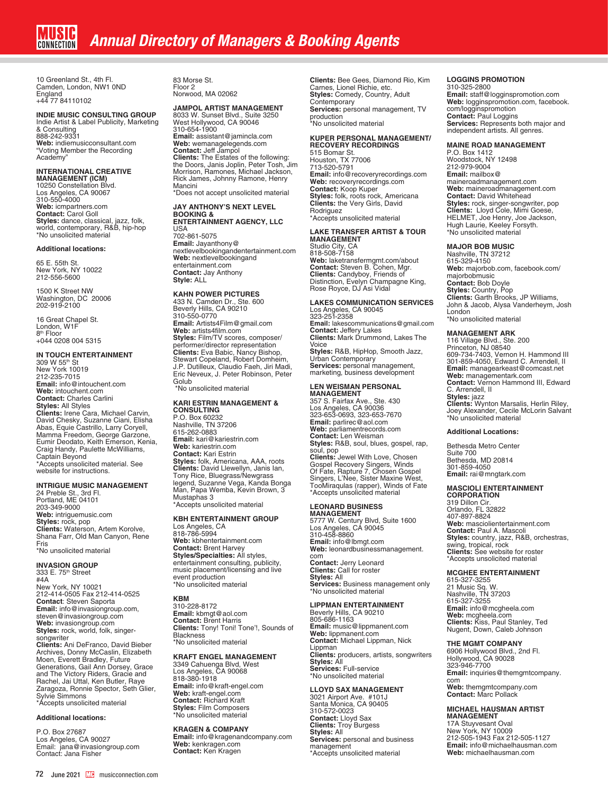10 Greenland St., 4th Fl. Camden, London, NW1 0ND England +44 77 84110102

# **INDIE MUSIC CONSULTING GROUP** Indie Artist & Label Publicity, Marketing

& Consulting 888-242-9331 Web: indiemusicconsultant.com "Voting Member the Recording Academy"

**INTERNATIONAL CREATIVE MANAGEMENT (ICM)** 10250 Constellation Blvd. Los Angeles, CA 90067 310-550-4000 **Web:** icmpartners.com **Contact:** Carol Goll **Styles:** dance, classical, jazz, folk, world, contemporary, R&B, hip-hop \*No unsolicited material

### **Additional locations:**

65 E. 55th St. New York, NY 10022 212-556-5600

1500 K Street NW Washington, DC 20006 202-919-2100

16 Great Chapel St. London, W1F<br>8<sup>th</sup> Floor +044 0208 004 5315

# **IN TOUCH ENTERTAINMENT**

309 W 55th St New York 10019 212-235-7015 **Email:** info@intouchent.com **Web:** intouchent.com **Contact:** Charles Carlini **Styles:** All Styles **Clients:** Irene Cara, Michael Carvin, David Chesky, Suzanne Ciani, Elisha Abas, Equie Castrillo, Larry Coryell, Mamma Freedom, George Garzone, Eumir Deodato, Keith Emerson, Kenia, Craig Handy, Paulette McWilliams, Captain Beyond \*Accepts unsolicited material. See website for instructions.

# **INTRIGUE MUSIC MANAGEMENT**

24 Preble St., 3rd Fl. Portland, ME 04101 203-349-9000 **Web:** intriguemusic.com **Styles:** rock, pop **Clients:** Waterson, Artem Korolve, Shana Farr, Old Man Canyon, Rene Fris \*No unsolicited material

# **INVASION GROUP**

333 E. 75th Street #4A New York, NY 10021 212-414-0505 Fax 212-414-0525 **Contact**: Steven Saporta **Email:** info@invasiongroup.com, steven@invasiongroup.com **Web:** invasiongroup.com **Styles:** rock, world, folk, singersongwriter **Clients:** Ani DeFranco, David Bieber Archives, Donny McCaslin, Elizabeth Moen, Everett Bradley, Future Generations, Gail Ann Dorsey, Grace and The Victory Riders, Gracie and Rachel, Jai Uttal, Ken Butler, Raye Zaragoza, Ronnie Spector, Seth Glier, Sylvie Simmons \*Accepts unsolicited material

# **Additional locations:**

P.O. Box 27687 Los Angeles, CA 90027 Email: jana@invasiongroup.com Contact: Jana Fisher

83 Morse St. Floor 2 Norwood, MA 02062

# **JAMPOL ARTIST MANAGEMENT**

8033 W. Sunset Blvd., Suite 3250 West Hollywood, CA 90046 310-654-1900 **Email:** assistant@jamincla.com **Web:** wemanagelegends.com **Contact:** Jeff Jampol **Clients:** The Estates of the following: the Doors, Janis Joplin, Peter Tosh, Jim Morrison, Ramones, Michael Jackson, Rick James, Johnny Ramone, Henry Mancini \*Does not accept unsolicited material

**JAY ANTHONY'S NEXT LEVEL BOOKING &** 

# **ENTERTAINMENT AGENCY, LLC**

USA 702-861-5075 **Email:** Jayanthony@ nextlevelbookingandentertainment.com **Web:** nextlevelbookingand entertainment.com **Contact:** Jay Anthony **Style:** ALL

# **KAHN POWER PICTURES**

433 N. Camden Dr., Ste. 600 Beverly Hills, CA 90210 310-550-0770 **Email:** Artists4Film@gmail.com **Web:** artists4film.com **Styles:** Film/TV scores, composer/ performer/director representation<br>**Clients:** Eva Babic, Nancy Bishop,<br>Stewart Copeland, Robert Domheim, J.P. Dutilleux, Claudio Faeh, Jiri Madi, Eric Neveux, J. Peter Robinson, Peter Golub

\*No unsolicited material

# **KARI ESTRIN MANAGEMENT & CONSULTING** P.O. Box 60232 Nashville, TN 37206 615-262-0883 **Email:** kari@kariestrin.com **Web:** kariestrin.com **Contact:** Kari Estrin **Styles:** folk, Americana, AAA, roots **Clients:** David Llewellyn, Janis Ian, Tony Rice, Bluegrass/Newgrass legend, Suzanne Vega, Kanda Bonga Man, Papa Wemba, Kevin Brown, 3

Mustaphas 3 \*Accepts unsolicited material

# **KBH ENTERTAINMENT GROUP** Los Angeles, CA 818-786-5994 **Web:** kbhentertainment.com **Contact:** Brent Harvey **Styles/Specialties:** All styles, entertainment consulting, publicity, music placement/licensing and live event production \*No unsolicited material

# **KBM**

310-228-8172 **Email:** kbmgt@aol.com **Contact:** Brent Harris **Clients:** Tony! Toni! Tone'!, Sounds of Blackness \*No unsolicited material

**KRAFT ENGEL MANAGEMENT** 3349 Cahuenga Blvd, West Los Angeles, CA 90068 818-380-1918 **Email:** info@kraft-engel.com **Web:** kraft-engel.com **Contact:** Richard Kraft **Styles:** Film Composers \*No unsolicited material

# **KRAGEN & COMPANY**

**Email:** info@kragenandcompany.com **Web:** kenkragen.com **Contact:** Ken Kragen

**Clients:** Bee Gees, Diamond Rio, Kim Carnes, Lionel Richie, etc. **Styles:** Comedy, Country, Adult **Contemporary Services:** personal management, TV production<br>\*No unsolicited material

# **KUPER PERSONAL MANAGEMENT/ RECOVERY RECORDINGS**

515 Bomar St. Houston, TX 77006 713-520-5791 **Email:** info@recoveryrecordings.com **Web:** recoveryrecordings.com **Contact:** Koop Kuper **Styles:** folk, roots rock, Americana **Clients:** the Very Girls, David Rodriguez \*Accepts unsolicited material

# **LAKE TRANSFER ARTIST & TOUR MANAGEMENT** Studio City, CA

818-508-7158 **Web:** laketransfermgmt.com/about **Contact:** Steven B. Cohen, Mgr. **Clients:** Candyboy, Friends of<br>Distinction, Evelyn Champagne King,<br>Rose Royce, DJ Asi Vidal

### **LAKES COMMUNICATION SERVICES** Los Angeles, CA 90045 323-251-2358

**Email:** lakescommunications@gmail.com **Contact:** Jeffery Lakes **Clients:** Mark Drummond, Lakes The Voice **Styles:** R&B, HipHop, Smooth Jazz, Urban Contemporary **Services:** personal management, marketing, business development

### **LEN WEISMAN PERSONAL MANAGEMENT**

357 S. Fairfax Ave., Ste. 430 Los Angeles, CA 90036 323-653-0693, 323-653-7670 **Email:** parlirec@aol.com **Web:** parliamentrecords.com **Contact:** Len Weisman **Styles:** R&B, soul, blues, gospel, rap, soul, pop **Clients:** Jewel With Love, Chosen Gospel Recovery Singers, Winds Of Fate, Rapture 7, Chosen Gospel Singers, L'Nee, Sister Maxine West, TooMiraqulas (rapper), Winds of Fate \*Accepts unsolicited material

### **LEONARD BUSINESS MANAGEMENT**

5777 W. Century Blvd, Suite 1600 Los Angeles, CA 90045 310-458-8860 **Email:** info@lbmgt.com **Web:** leonardbusinessmanagement. com **Contact:** Jerry Leonard **Clients:** Call for roster **Styles:** All **Services:** Business management only \*No unsolicited material

**LIPPMAN ENTERTAINMENT**<br>Beverly Hills, CA 90210<br>805-686-1163 **Email:** music@lippmanent.com Web: lippmanent.com **Contact:** Michael Lippman, Nick Lippman **Clients:** producers, artists, songwriters **Styles:** All **Services:** Full-service \*No unsolicited material

# **LLOYD SAX MANAGEMENT**

3021 Airport Ave. #101J Santa Monica, CA 90405 310-572-0023 **Contact:** Lloyd Sax **Clients:** Troy Burgess **Styles:** All **Services:** personal and business management \*Accepts unsolicited material

# **LOGGINS PROMOTION**

310-325-2800 **Email:** staff@logginspromotion.com **Web:** logginspromotion.com, facebook. com/logginspromotion **Contact:** Paul Loggins **Services:** Represents both major and independent artists. All genres.

# **MAINE ROAD MANAGEMENT**

P.O. Box 1412 Woodstock, NY 12498 212-979-9004 **Email:** mailbox@ maineroadmanagement.com **Web:** maineroadmanagement.com **Contact:** David Whitehead **Styles:** rock, singer-songwriter, pop **Clients:** Lloyd Cole, Mimi Goese, HELMET, Joe Henry, Joe Jackson, Hugh Laurie, Keeley Forsyth. \*No unsolicited material

# **MAJOR BOB MUSIC**

Nashville, TN 37212 615-329-4150 **Web:** majorbob.com, facebook.com/ majorbobmusic **Contact:** Bob Doyle **Styles:** Country, Pop<br>**Clients:** Garth Brooks, JP Williams,<br>John & Jacob, Alysa Vanderheym, Josh London \*No unsolicited material

# **MANAGEMENT ARK**

116 Village Blvd., Ste. 200 Princeton, NJ 08540 609-734-7403, Vernon H. Hammond III 301-859-4050, Edward C. Arrendell, II **Email:** managearkeast@comcast.net **Web:** managementark.com **Contact:** Vernon Hammond III, Edward C. Arrendell, II **Styles:** jazz<br>**Clients:** Wynton Marsalis, Herlin Riley,<br>Joey Alexander, Cecile McLorin Salvant \*No unsolicited material

## **Additional Locations:**

Bethesda Metro Center Suite 700 Bethesda, MD 20814 301-859-4050 **Email:** rai@mngtark.com

# **MASCIOLI ENTERTAINMENT CORPORATION**

319 Dillon Cir. Orlando, FL 32822 407-897-8824 **Web:** masciolientertainment.com **Contact:** Paul A. Mascoli **Styles:** country, jazz, R&B, orchestras, swing, tropical, rock **Clients:** See website for roster \*Accepts unsolicited material

**MCGHEE ENTERTAINMENT** 615-327-3255 21 Music Sq. W. Nashville, TN 37203 615-327-3255 **Email:** info@mcgheela.com **Web:** mcgheela.com **Clients:** Kiss, Paul Stanley, Ted Nugent, Down, Caleb Johnson

# **THE MGMT COMPANY** 6906 Hollywood Blvd., 2nd Fl.

Hollywood, CA 90028 323-946-7700 **Email:** inquiries@themgmtcompany. com **Web:** themgmtcompany.com **Contact:** Marc Pollack

# **MICHAEL HAUSMAN ARTIST**

**MANAGEMENT** 17A Stuyvesant Oval New York, NY 10009 212-505-1943 Fax 212-505-1127 **Email:** info@michaelhausman.com **Web:** michaelhausman.com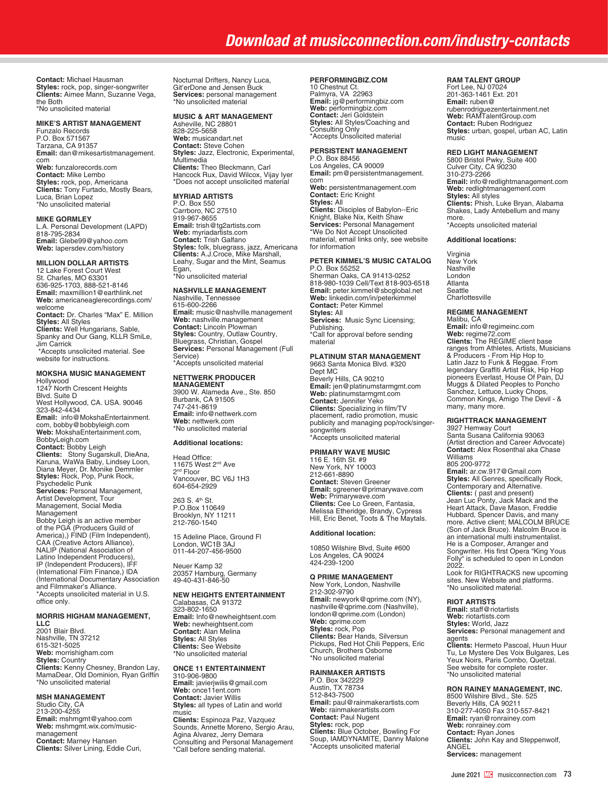**Contact:** Michael Hausman **Styles:** rock, pop, singer-songwriter **Clients:** Aimee Mann, Suzanne Vega, the Both \*No unsolicited material

### **MIKE'S ARTIST MANAGEMENT**

Funzalo Records P.O. Box 571567 Tarzana, CA 91357 **Email:** dan@mikesartistmanagement. com **Web:** funzalorecords.com **Contact:** Mike Lembo **Styles:** rock, pop, Americana **Clients:** Tony Furtado, Mostly Bears, Luca, Brian Lopez \*No unsolicited material

### **MIKE GORMLEY**

L.A. Personal Development (LAPD) 818-795-2834 **Email:** Glebe99@yahoo.com **Web:** lapersdev.com/history

# **MILLION DOLLAR ARTISTS**

12 Lake Forest Court West St. Charles, MO 63301 636-925-1703, 888-521-8146 **Email:** maxmillion1@earthlink.net **Web:** americaneaglerecordings.com/ welcome **Contact:** Dr. Charles "Max" E. Million **Styles:** All Styles<br>**Clients:** Well Hungarians, Sable,<br>Spanky and Our Gang, KLLR SmiLe, Jim Carrick \*Accepts unsolicited material. See website for instructions.

# **MOKSHA MUSIC MANAGEMENT**

Hollywood 1247 North Crescent Heights Blvd. Suite D West Hollywood, CA. USA. 90046<br>323-842-4434<br>**Email:** info@MokshaEntertainment. com, bobby@bobbyleigh.com **Web:** MokshaEntertainment.com, BobbyLeigh.com **Contact:** Bobby Leigh **Clients:** Stony Sugarskull, DieAna,<br>Karuna, WaWa Baby, Lindsey Loon,<br>Diana Meyer, Dr. Monike Demmler<br>**Styles:** Rock, Pop, Punk Rock, Psychedelic Punk **Services:** Personal Management,<br>Artist Development, Tour<br>Management, Social Media Management Bobby Leigh is an active member of the PGA (Producers Guild of America),) FIND (Film Independent), CAA (Creative Actors Alliance), NALIP (National Association of<br>Latino Independent Producers),<br>IP (Independent Producers), IFF<br>(International Film Finance,) IDA<br>(International Documentary Association and Filmmaker's Alliance. \*Accepts unsolicited material in U.S. office only.

### **MORRIS HIGHAM MANAGEMENT, LLC**

2001 Blair Blvd. Nashville, TN 37212 615-321-5025 **Web:** morrishigham.com **Styles:** Country<br>**Clients:** Kenny Chesney, Brandon Lay,<br>MamaDear, Old Dominion, Ryan Griffin \*No unsolicited material

# **MSH MANAGEMENT** Studio City, CA 213-200-4255 **Email:** mshmgmt@yahoo.com **Web:** mshmgmt.wix.com/musicmanagement **Contact:** Marney Hansen **Clients:** Silver Lining, Eddie Curi,

Nocturnal Drifters, Nancy Luca, Git'erDone and Jensen Buck **Services:** personal management \*No unsolicited material

# **MUSIC & ART MANAGEMENT**

Asheville, NC 28801 828-225-5658 **Web:** musicandart.net **Contact:** Steve Cohen **Styles:** Jazz, Electronic, Experimental, Multimedia **Clients:** Theo Bleckmann, Carl Hancock Rux, David Wilcox, Vijay Iyer \*Does not accept unsolicited material

# **MYRIAD ARTISTS**

P.O. Box 550 Carrboro, NC 27510 919-967-8655 **Email:** trish@tg2artists.com **Web:** myriadartists.com **Contact:** Trish Galfano **Styles:** folk, bluegrass, jazz, Americana **Clients:** A.J.Croce, Mike Marshall, Leahy, Sugar and the Mint, Seamus Egan, \*No unsolicited material

# **NASHVILLE MANAGEMENT**

Nashville, Tennessee 615-600-2266 **Email:** music@nashville.management **Web:** nashville.management **Contact:** Lincoln Plowman **Styles:** Country, Outlaw Country, Bluegrass, Christian, Gospel **Services:** Personal Management (Full Service) \*Accepts unsolicited material

# **NETTWERK PRODUCER MANAGEMENT**

3900 W. Alameda Ave., Ste. 850 Burbank, CA 91505 747-241-8619 **Email:** info@nettwerk.com **Web:** nettwerk.com \*No unsolicited material

# **Additional locations:**

Head Office: 11675 West 2nd Ave 2nd Floor Vancouver, BC V6J 1H3 604-654-2929

263 S. 4th St. P.O.Box 110649 Brooklyn, NY 11211 212-760-1540

15 Adeline Place, Ground Fl London, WC1B 3AJ 011-44-207-456-9500

Neuer Kamp 32 20357 Hamburg, Germany 49-40-431-846-50

### **NEW HEIGHTS ENTERTAINMENT** Calabasas, CA 91372

323-802-1650 **Email:** Info@newheightsent.com **Web:** newheightsent.com **Contact:** Alan Melina **Styles:** All Styles **Clients:** See Website \*No unsolicited material

# **ONCE 11 ENTERTAINMENT**

310-906-9800 **Email:** javierjwilis@gmail.com **Web:** once11ent.com **Contact:** Javier Willis **Styles:** all types of Latin and world music **Clients:** Espinoza Paz, Vazquez Sounds, Annette Moreno, Sergio Arau, Agina Alvarez, Jerry Demara Consulting and Personal Management \*Call before sending material.

# **PERFORMINGBIZ.COM**

10 Chestnut Ct. Palmyra, VA 22963 **Email:** jg@performingbiz.com **Web:** performingbiz.com **Contact:** Jeri Goldstein **Styles:** All Styles/Coaching and Consulting Only \*Accepts Unsolicited material

# **PERSISTENT MANAGEMENT**

P.O. Box 88456 Los Angeles, CA 90009 **Email:** pm@persistentmanagement. com **Web:** persistentmanagement.com **Contact:** Eric Knight **Styles:** All **Clients:** Disciples of Babylon--Eric Knight, Blake Nix, Keith Shaw **Services:** Personal Management \*We Do Not Accept Unsolicited material, email links only, see website for information

# **PETER KIMMEL'S MUSIC CATALOG**

P.O. Box 55252 Sherman Oaks, CA 91413-0252 818-980-1039 Cell/Text 818-903-6518 **Email:** peter.kimmel@sbcglobal.net **Web:** linkedin.com/in/peterkimmel **Contact:** Peter Kimmel **Styles:** All **Services:** Music Sync Licensing; Publishing. \*Call for approval before sending material

## **PLATINUM STAR MANAGEMENT**

9663 Santa Monica Blvd. #320 Dept MC Beverly Hills, CA 90210 **Email:** jen@platinumstarmgmt.com **Web:** platinumstarmgmt.com **Contact:** Jennifer Yeko **Clients:** Specializing in film/TV placement, radio promotion, music publicity and managing pop/rock/singersongwriters \*Accepts unsolicited material

### **PRIMARY WAVE MUSIC**

116 E. 16th St. #9 New York, NY 10003 212-661-8890 **Contact:** Steven Greener **Email:** sgreener@primarywave.com **Web:** Primarywave.com<br>**Clients:** Cee Lo Green, Fantasia,<br>Melissa Etheridge, Brandy, Cypress<br>Hill, Eric Benet, Toots & The Maytals.

## **Additional location:**

10850 Wilshire Blvd, Suite #600 Los Angeles, CA 90024 424-239-1200

### **Q PRIME MANAGEMENT**

New York, London, Nashville 212-302-9790 **Email:** newyork@qprime.com (NY), nashville@qprime.com (Nashville), london@qprime.com (London) **Web:** qprime.com **Styles:** rock, Pop **Clients:** Bear Hands, Silversun Pickups, Red Hot Chili Peppers, Eric Church, Brothers Osborne \*No unsolicited material

# **RAINMAKER ARTISTS**

P.O. Box 342229 Austin, TX 78734 512-843-7500 **Email:** paul@rainmakerartists.com **Web:** rainmakerartists.com **Contact:** Paul Nugent **Styles:** rock, pop **Clients:** Blue October, Bowling For Soup, IAMDYNAMITE, Danny Malone \*Accepts unsolicited material

## **RAM TALENT GROUP**

Fort Lee, NJ 07024 201-363-1461 Ext. 201 **Email:** ruben@ rubenrodriguezentertainment.net **Web:** RAMTalentGroup.com **Contact:** Ruben Rodriguez **Styles:** urban, gospel, urban AC, Latin music

**RED LIGHT MANAGEMENT**<br>5800 Bristol Pwky, Suite 400<br>Culver City, CA 90230<br>310-273-2266 **Email:** info@redlightmanagement.com **Web:** redlightmanagement.com **Styles:** All styles **Clients:** Phish, Luke Bryan, Alabama Shakes, Lady Antebellum and many more. \*Accepts unsolicited material

### **Additional locations:**

Virginia New York Nashville London Atlanta Seattle **Charlottesville** 

## **REGIME MANAGEMENT**

Malibu, CA **Email:** info@regimeinc.com **Web:** regime72.com **Clients:** The REGIME client base ranges from Athletes, Artists, Musicians<br>& Producers - From Hip Hop to<br>Latin Jazz to Funk & Reggae. From<br>legendary Graffiti Artist Risk, Hip Hop<br>pioneers Everlast, House Of Pain, DJ<br>Muggs & Dilated Peoples to Poncho<br>Sanche many, many more.

## **RIGHTTRACK MANAGEMENT**

3927 Hemway Court Santa Susana California 93063 (Artist direction and Career Advocate) **Contact:** Alex Rosenthal aka Chase Williams 805 200-9772 **Email:** ar.cw.917@Gmail.com **Styles:** All Genres, specifically Rock, Contemporary and Alternative.<br>**Clients:** ( past and present)<br>Jean Luc Ponty, Jack Mack and the<br>Heart Attack, Dave Mason, Freddie Hubbard, Spencer Davis, and many more. Active client; MALCOLM BRUCE (Son of Jack Bruce). Malcolm Bruce is an international multi instrumentalist. He is a Composer, Arranger and Songwriter. His first Opera "King Yous Folly" is scheduled to open in London 2022.

Look for RIGHTRACKS new upcoming sites. New Website and platforms. \*No unsolicited material.

### **RIOT ARTISTS**

**Email:** staff@riotartists **Web:** riotartists.com **Styles:** World, Jazz **Services:** Personal management and agents **Clients:** Hermeto Pascoal, Huun Huur Tu, Le Mystere Des Voix Bulgares, Les Yeux Noirs, Paris Combo, Quetzal. See website for complete roster. \*No unsolicited material

**RON RAINEY MANAGEMENT, INC.**<br>8500 Wilshire Blvd., Ste. 525<br>Beverly Hills, CA 90211 310-277-4050 Fax 310-557-8421 **Email:** ryan@ronrainey.com **Web:** ronrainey.com **Contact:** Ryan Jones **Clients:** John Kay and Steppenwolf, ANGEL **Services:** management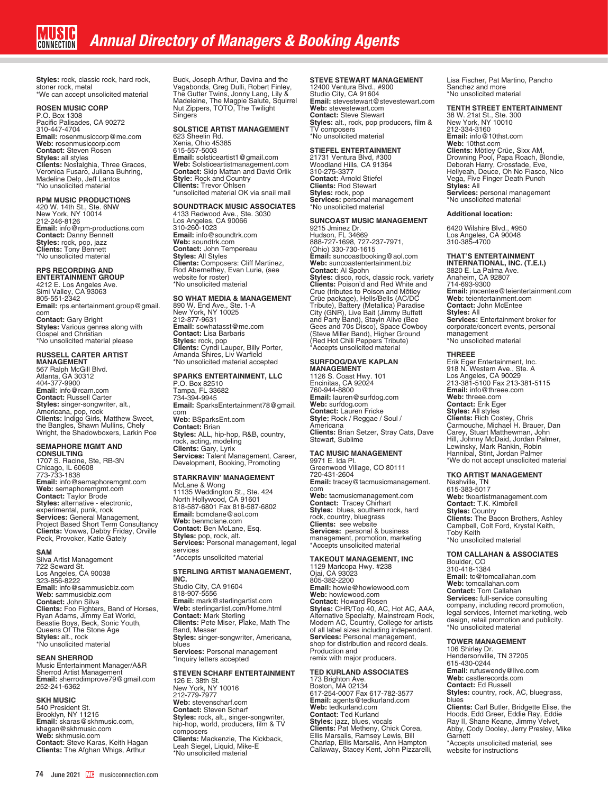**Styles:** rock, classic rock, hard rock, stoner rock, metal \*We can accept unsolicited material

## **ROSEN MUSIC CORP**

P.O. Box 1308 Pacific Palisades, CA 90272 310-447-4704 **Email:** rosenmusiccorp@me.com **Web:** rosenmusiccorp.com **Contact:** Steven Rosen **Styles:** all styles **Clients:** Nostalghia, Three Graces, Veronica Fusaro, Juliana Buhring, Madeline Delp, Jeff Lantos \*No unsolicited material

**RPM MUSIC PRODUCTIONS**<br>420 W. 14th St., Ste. 6NW<br>New York, NY 10014 212-246-8126 **Email:** info@rpm-productions.com **Contact:** Danny Bennett **Styles:** rock, pop, jazz **Clients:** Tony Bennett \*No unsolicited material

# **RPS RECORDING AND**

**ENTERTAINMENT GROUP** 4212 E. Los Angeles Ave. Simi Valley, CA 93063 805-551-2342 **Email:** rps.entertainment.group@gmail. com **Contact:** Gary Bright **Styles:** Various genres along with Gospel and Christian \*No unsolicited material please

# **RUSSELL CARTER ARTIST**

**MANAGEMENT**<br>567 Ralph McGill Blvd.<br>Atlanta, GA 30312<br>404-377-9900 **Email:** info@rcam.com **Contact:** Russell Carter **Styles:** singer-songwriter, alt.,<br>Americana, pop, rock<br>**Clients:** Indigo Girls, Matthew Sweet,<br>**the Bangles, Shawn Mullins, Chely**<br>Wright, the Shadowboxers, Larkin Poe

**SEMAPHORE MGMT AND CONSULTING** 1707 S. Racine, Ste, RB-3N Chicago, IL 60608 773-733-1838 **Email:** info@semaphoremgmt.com **Web:** semaphoremgmt.com **Contact:** Taylor Brode **Styles:** alternative - electronic, experimental, punk, rock **Services:** General Management, Project Based Short Term Consultancy **Clients:** Vowws, Debby Friday, Orville Peck, Provoker, Katie Gately

## **SAM**

Silva Artist Management 722 Seward St. Los Angeles, CA 90038 323-856-8222 **Email:** info@sammusicbiz.com **Web:** sammusicbiz.com **Contact:** John Silva<br>**Clients:** Foo Fighters, Band of Horses,<br>Ryan Adams, Jimmy Eat World,<br>Beastie Boys, Beck, Sonic Youth,<br>Queens Of The Stone Age **Styles:** alt., rock \*No unsolicited material

### **SEAN SHERROD**

Music Entertainment Manager/A&R Sherrod Artist Management **Email:** sherrodimprove79@gmail.com 252-241-6362

### **SKH MUSIC**

540 President St. Brooklyn, NY 11215 **Email:** skaras@skhmusic.com, khagan@skhmusic.com **Web:** skhmusic.com **Contact:** Steve Karas, Keith Hagan **Clients:** The Afghan Whigs, Arthur Buck, Joseph Arthur, Davina and the Vagabonds, Greg Dulli, Robert Finley, The Gutter Twins, Jonny Lang, Lily & Madeleine, The Magpie Salute, Squirrel Nut Zippers, TOTO, The Twilight **Singers** 

# **SOLSTICE ARTIST MANAGEMENT**

623 Sheelin Rd. Xenia, Ohio 45385 615-557-5003 **Email:** solsticeartist1@gmail.com **Web:** Solsticeartistmanagement.com **Contact:** Skip Mattan and David Orlik **Style:** Rock and Country **Clients:** Trevor Ohlsen \*unsolicited material OK via snail mail

## **SOUNDTRACK MUSIC ASSOCIATES**

4133 Redwood Ave., Ste. 3030 Los Angeles, CA 90066 310-260-1023 **Email:** info@soundtrk.com **Web:** soundtrk.com **Contact:** John Tempereau **Styles:** All Styles **Clients:** Composers: Cliff Martinez, Rod Abernethey, Evan Lurie, (see website for roster) \*No unsolicited material

**SO WHAT MEDIA & MANAGEMENT**<br>890 W. End Ave., Ste. 1-A<br>New York, NY 10025 212-877-9631 **Email:** sowhatasst@me.com **Contact:** Lisa Barbaris **Styles:** rock, pop<br>**Clients:** Cyndi Lauper, Billy Porter,<br>Amanda Shires, Liv Warfield \*No unsolicited material accepted

## **SPARKS ENTERTAINMENT, LLC**

P.O. Box 82510 Tampa, FL 33682 734-394-9945 **Email:** SparksEntertainment78@gmail. com

**Web:** BSparksEnt.com **Contact:** Brian **Styles:** ALL, hip-hop, R&B, country, rock, acting, modeling<br>**Clients:** Gary, Lyrix<br>**Services:** Talent Management, Career,<br>Development, Booking, Promoting

**STARKRAVIN' MANAGEMENT**<br>McLane & Wong<br>11135 Weddington St., Ste. 424 North Hollywood, CA 91601 818-587-6801 Fax 818-587-6802 **Email:** bcmclane@aol.com **Web:** benmclane.com **Contact:** Ben McLane, Esq. **Styles:** pop, rock, alt. **Services:** Personal management, legal services \*Accepts unsolicited material

### **STERLING ARTIST MANAGEMENT, INC.**

Studio City, CA 91604 818-907-5556 **Email:** mark@sterlingartist.com **Web:** sterlingartist.com/Home.html **Contact:** Mark Sterling **Clients:** Pete Miser, Plake, Math The Band, Messer **Styles:** singer-songwriter, Americana, blues **Services:** Personal management \*Inquiry letters accepted

# **STEVEN SCHARF ENTERTAINMENT**

126 E. 38th St. New York, NY 10016 212-779-7977 **Web:** stevenscharf.com **Contact:** Steven Scharf **Styles:** rock, alt., singer-songwriter, hip-hop, world, producers, film & TV composers **Clients:** Mackenzie, The Kickback, Leah Siegel, Liquid, Mike-E \*No unsolicited material

# **STEVE STEWART MANAGEMENT**

12400 Ventura Blvd., #900 Studio City, CA 91604 **Email:** stevestewart@stevestewart.com **Web:** stevestewart.com **Contact:** Steve Stewart **Styles:** alt., rock, pop producers, film & TV composers \*No unsolicited material

## **STIEFEL ENTERTAINMENT**

21731 Ventura Blvd, #300 Woodland Hills, CA 91364 310-275-3377 **Contact:** Arnold Stiefel **Clients:** Rod Stewart **Styles:** rock, pop **Services:** personal management \*No unsolicited material

# **SUNCOAST MUSIC MANAGEMENT**

9215 Jminez Dr. Hudson, FL 34669<br>888-727-1698, 727-237-7971,<br>(Ohio) 330-730-1615 **Email:** suncoastbooking@aol.com **Web:** suncoastentertainment.biz **Contact:** Al Spohn **Styles:** disco, rock, classic rock, variety<br>**Clients:** Poison'd and Red White and<br>Crue (tributes to Poison and Mötley Crüe package), Hells/Bells (AC/DC Tribute), Battery (Metallica) Paradise City (GNR), Live Bait (Jimmy Buffett and Party Band), Stayin Alive (Bee Gees and 70s Disco), Space Cowboy (Steve Miller Band), Higher Ground (Red Hot Chili Peppers Tribute) \*Accepts unsolicited material

**SURFDOG/DAVE KAPLAN MANAGEMENT** 1126 S. Coast Hwy. 101 Encinitas, CA 92024 760-944-8800 **Email:** lauren@surfdog.com **Web:** surfdog.com **Contact:** Lauren Fricke **Style:** Rock / Reggae / Soul / Americana<br>**Clients:** Brian Setzer, Stray Cats, Dave<br>Stewart, Sublime

# **TAC MUSIC MANAGEMENT** 9971 E. Ida Pl.

Greenwood Village, CO 80111 720-431-2604<br>**Email:** tracey@tacmusicmanagement.<br>com **Web:** tacmusicmanagement.com **Contact:** Tracey Chirhart **Styles:** blues, southern rock, hard rock, country, bluegrass **Clients:** see website **Services:** personal & business management, promotion, marketing \*Accepts unsolicited material

# **TAKEOUT MANAGEMENT, INC** 1129 Maricopa Hwy. #238

Ojai, CA 93023 805-382-2200 **Email:** howie@howiewood.com **Web:** howiewood.com **Contact:** Howard Rosen<br>**Styles:** CHR/Top 40, AC, Hot AC, AAA,<br>Alternative Specialty, Mainstream Rock,<br>Modern AC, Country, College for artists<br>of all label sizes including independent. **Services:** Personal management, shop for distribution and record deals. Production and remix with major producers.

# **TED KURLAND ASSOCIATES**

173 Brighton Ave. Boston, MA 02134 617-254-0007 Fax 617-782-3577 **Email:** agents@tedkurland.com **Web:** tedkurland.com **Contact:** Ted Kurland **Styles:** jazz, blues, vocals<br>**Clients:** Pat Metheny, Chick Corea,<br>Ellis Marsalis, Ramsey Lewis, Bill<br>Charlap, Ellis Marsalis, Ann Hampton Callaway, Stacey Kent, John Pizzarelli, Lisa Fischer, Pat Martino, Pancho Sanchez and more \*No unsolicited material

# **TENTH STREET ENTERTAINMENT**

38 W. 21st St., Ste. 300 New York, NY 10010 212-334-3160 **Email:** info@10thst.com **Web:** 10thst.com **Clients:** Mötley Crüe, Sixx AM,<br>Drowning Pool, Papa Roach, Blondie,<br>Deborah Harry, Crossfade, Eve,<br>Hellyeah, Deuce, Oh No Fiasco, Nico Vega, Five Finger Death Punch **Styles:** All **Services:** personal management \*No unsolicited material

### **Additional location:**

6420 Wilshire Blvd., #950 Los Angeles, CA 90048 310-385-4700

**THAT'S ENTERTAINMENT INTERNATIONAL, INC. (T.E.I.)** 3820 E. La Palma Ave. Anaheim, CA 92807 714-693-9300 **Email:** jmcentee@teientertainment.com **Web:** teientertainment.com **Contact:** John McEntee **Styles:** All **Services:** Entertainment broker for corporate/concert events, personal management \*No unsolicited material

### **THREEE**

Erik Eger Entertainment, Inc. 918 N. Western Ave., Ste. A Los Angeles, CA 90029 213-381-5100 Fax 213-381-5115 **Email:** info@threee.com **Web:** threee.com **Contact:** Erik Eger **Styles:** All styles **Clients:** Rich Costey, Chris Carmouche, Michael H. Brauer, Dan Carey, Stuart Matthewman, John Hill, Johnny McDaid, Jordan Palmer, Lewinsky, Mark Rankin, Robin Hannibal, Stint, Jordan Palmer \*We do not accept unsolicited material

### **TKO ARTIST MANAGEMENT**

Nashville, TN 615-383-5017 **Web:** tkoartistmanagement.com **Contact:** T.K. Kimbrell **Styles:** Country **Clients:** The Bacon Brothers, Ashley Campbell, Colt Ford, Krystal Keith, Toby Keith \*No unsolicited material

# **TOM CALLAHAN & ASSOCIATES**

Boulder, CO 310-418-1384 **Email:** tc@tomcallahan.com **Web:** tomcallahan.com **Contact:** Tom Callahan **Services:** full-service consulting company, including record promotion, legal services, Internet marketing, web design, retail promotion and publicity. \*No unsolicited material

### **TOWER MANAGEMENT**

106 Shirley Dr. Hendersonville, TN 37205 615-430-0244 **Email:** rufuswendy@live.com **Web:** castlerecords.com **Contact:** Ed Russell **Styles:** country, rock, AC, bluegrass, blues<br>**Clients:** Carl Butler, Bridgette Elise, the<br>Hoods, Edd Greer, Eddie Ray, Eddie Ray II, Shane Keane, Jimmy Velvet, Abby, Cody Dooley, Jerry Presley, Mike Garnett \*Accepts unsolicited material, see website for instructions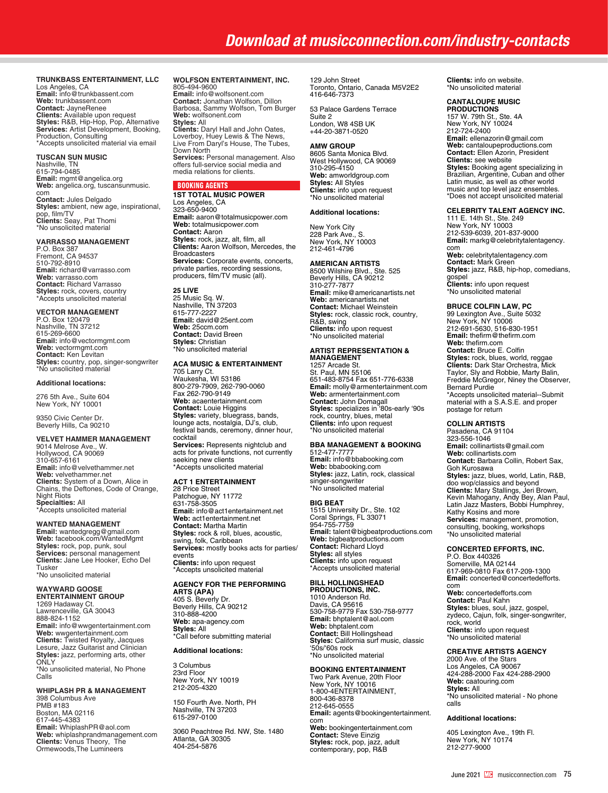# *Download at musicconnection.com/industry-contacts*

# **TRUNKBASS ENTERTAINMENT, LLC**

Los Angeles, CA **Email:** info@trunkbassent.com **Web:** trunkbassent.com **Contact:** JayneRenee<br>**Clients:** Available upon request<br>**Styles:** R&B, Hip-Hop, Pop, Alternative<br>**Services:** Artist Development, Booking, Production, Consulting \*Accepts unsolicited material via email

# **TUSCAN SUN MUSIC** Nashville, TN

615-794-0485 **Email:** mgmt@angelica.org **Web:** angelica.org, tuscansunmusic.<br>com<br>**Contact:** Jules Delgado<br>**Styles:** ambient, new age, inspirational, pop, film/TV **Clients:** Seay, Pat Thomi \*No unsolicited material

# **VARRASSO MANAGEMENT**

P.O. Box 387 Fremont, CA 94537 510-792-8910 **Email:** richard@varrasso.com **Web:** varrasso.com **Contact:** Richard Varrasso **Styles:** rock, covers, country \*Accepts unsolicited material

# **VECTOR MANAGEMENT**

P.O. Box 120479 Nashville, TN 37212 615-269-6600 **Email:** info@vectormgmt.com **Web:** vectormgmt.com **Contact:** Ken Levitan **Styles:** country, pop, singer-songwriter \*No unsolicited material

### **Additional locations:**

276 5th Ave., Suite 604 New York, NY 10001

9350 Civic Center Dr. Beverly Hills, Ca 90210

# **VELVET HAMMER MANAGEMENT**

9014 Melrose Ave., W. Hollywood, CA 90069 310-657-6161 **Email:** info@velvethammer.net **Web:** velvethammer.net **Clients:** System of a Down, Alice in Chains, the Deftones, Code of Orange, Night Riots **Specialties:** All \*Accepts unsolicited material

## **WANTED MANAGEMENT**

**Email:** wantedgregg@gmail.com **Web:** facebook.com/WantedMgmt **Styles:** rock, pop, punk, soul **Services:** personal management **Clients:** Jane Lee Hooker, Echo Del Tusker \*No unsolicited material

# **WAYWARD GOOSE**

**ENTERTAINMENT GROUP** 1269 Hadaway Ct. Lawrenceville, GA 30043 888-824-1152 **Email:** info@wwgentertainment.com **Web:** wwgentertainment.com **Clients:** Twisted Royalty, Jacques Lesure, Jazz Guitarist and Clinician **Styles:** jazz, performing arts, other ONLY \*No unsolicited material, No Phone Calls

# **WHIPLASH PR & MANAGEMENT**

398 Columbus Ave PMB #183 Boston, MA 02116 617-445-4383 **Email:** WhiplashPR@aol.com **Web:** whiplashprandmanagement.com **Clients:** Venus Theory, The Ormewoods,The Lumineers

### **WOLFSON ENTERTAINMENT, INC.** 805-494-9600

**Email:** info@wolfsonent.com **Contact:** Jonathan Wolfson, Dillon Barbosa, Sammy Wolfson, Tom Burger **Web:** wolfsonent.com **Styles:** All **Clients:** Daryl Hall and John Oates, Loverboy, Huey Lewis & The News, Live From Daryl's House, The Tubes, Down North **Services:** Personal management. Also offers full-service social media and media relations for clients.

# BOOKING AGENTS

**1ST TOTAL MUSIC POWER** Los Angeles, CA 323-650-9400 **Email:** aaron@totalmusicpower.com **Web:** totalmusicpower.com **Contact:** Aaron **Styles:** rock, jazz, alt, film, all **Clients:** Aaron Wolfson, Mercedes, the Broadcasters **Services:** Corporate events, concerts, private parties, recording sessions, producers, film/TV music (all).

# **25 LIVE**

25 Music Sq. W. Nashville, TN 37203 615-777-2227 **Email:** david@25ent.com **Web:** 25ccm.com **Contact:** David Breen **Styles:** Christian \*No unsolicited material

# **ACA MUSIC & ENTERTAINMENT**

705 Larry Ct. Waukesha, WI 53186 800-279-7909, 262-790-0060 Fax 262-790-9149 **Web:** acaentertainment.com **Contact:** Louie Higgins **Styles:** variety, bluegrass, bands, lounge acts, nostalgia, DJ's, club, festival bands, ceremony, dinner hour, cocktail **Services:** Represents nightclub and acts for private functions, not currently seeking new clients \*Accepts unsolicited material

# **ACT 1 ENTERTAINMENT**

28 Price Street Patchogue, NY 11772 631-758-3505 **Email:** info@act1entertainment.net **Web:** act1entertainment.net **Contact:** Martha Martin **Styles:** rock & roll, blues, acoustic, swing, folk, Caribbean **Services:** mostly books acts for parties/ events **Clients:** info upon request \*Accepts unsolicited material

### **AGENCY FOR THE PERFORMING ARTS (APA)**

405 S. Beverly Dr. Beverly Hills, CA 90212 310-888-4200 **Web:** apa-agency.com **Styles:** All \*Call before submitting material

# **Additional locations:**

3 Columbus 23rd Floor New York, NY 10019 212-205-4320

150 Fourth Ave. North, PH Nashville, TN 37203 615-297-0100

3060 Peachtree Rd. NW, Ste. 1480 Atlanta, GA 30305 404-254-5876

129 John Street Toronto, Ontario, Canada M5V2E2 416-646-7373

53 Palace Gardens Terrace Suite 2 London, W8 4SB UK +44-20-3871-0520

### **AMW GROUP**

8605 Santa Monica Blvd. West Hollywood, CA 90069 310-295-4150 **Web:** amworldgroup.com **Styles:** All Styles **Clients:** info upon request \*No unsolicited material

# **Additional locations:**

New York City 228 Park Ave., S. New York, NY 10003 212-461-4796

## **AMERICAN ARTISTS**

8500 Wilshire Blvd., Ste. 525 Beverly Hills, CA 90212 310-277-7877 **Email:** mike@americanartists.net **Web:** americanartists.net **Contact:** Michael Weinstein **Styles:** rock, classic rock, country, R&B, swing **Clients:** info upon request \*No unsolicited material

# **ARTIST REPRESENTATION & MANAGEMENT**

1257 Arcade St. St. Paul, MN 55106 651-483-8754 Fax 651-776-6338 **Email:** molly@armentertainment.com **Web:** armentertainment.com **Contact:** John Domagall **Styles:** specializes in '80s-early '90s rock, country, blues, metal **Clients:** info upon request \*No unsolicited material

# **BBA MANAGEMENT & BOOKING**

512-477-7777 **Email:** info@bbabooking.com **Web:** bbabooking.com **Styles:** jazz, Latin, rock, classical singer-songwriter \*No unsolicited material

# **BIG BEAT**

1515 University Dr., Ste. 102 Coral Springs, FL 33071 954-755-7759 **Email:** talent@bigbeatproductions.com **Web:** bigbeatproductions.com **Contact:** Richard Lloyd **Styles:** all styles **Clients:** info upon request \*Accepts unsolicited material

# **BILL HOLLINGSHEAD**

**PRODUCTIONS, INC.** 1010 Anderson Rd. Davis, CA 95616 530-758-9779 Fax 530-758-9777 **Email:** bhptalent@aol.com **Web:** bhptalent.com **Contact:** Bill Hollingshead **Styles:** California surf music, classic '50s/'60s rock \*No unsolicited material

# **BOOKING ENTERTAINMENT**

Two Park Avenue, 20th Floor New York, NY 10016 1-800-4ENTERTAINMENT, 800-436-8378 212-645-0555 **Email:** agents@bookingentertainment. com **Web:** bookingentertainment.com **Contact:** Steve Einzig **Styles:** rock, pop, jazz, adult contemporary, pop, R&B

**Clients:** info on website. \*No unsolicited material

### **CANTALOUPE MUSIC PRODUCTIONS**

157 W. 79th St., Ste. 4A New York, NY 10024 212-724-2400 **Email:** ellenazorin@gmail.com **Web:** cantaloupeproductions.com **Contact:** Ellen Azorin, President **Clients:** see website<br>**Styles:** Booking agent specializing in<br>Brazilian, Argentine, Cuban and other Latin music, as well as other world music and top level jazz ensembles. \*Does not accept unsolicited material

# **CELEBRITY TALENT AGENCY INC.**

111 E. 14th St., Ste. 249 New York, NY 10003 212-539-6039, 201-837-9000 **Email:** markg@celebritytalentagency. com **Web:** celebritytalentagency.com **Contact:** Mark Green

**Styles:** jazz, R&B, hip-hop, comedians, gospel **Clients:** info upon request \*No unsolicited material

## **BRUCE COLFIN LAW, PC**

99 Lexington Ave., Suite 5032 New York, NY 10006 212-691-5630, 516-830-1951 **Email:** thefirm@thefirm.com **Web:** thefirm.com **Contact:** Bruce E. Colfin **Styles:** rock, blues, world, reggae **Clients:** Dark Star Orchestra, Mick Taylor, Sly and Robbie, Marty Balin, Freddie McGregor, Niney the Observer, Bernard Purdie \*Accepts unsolicited material--Submit material with a S.A.S.E. and proper postage for return

# **COLLIN ARTISTS**

Pasadena, CA 91104 323-556-1046 **Email:** collinartists@gmail.com **Web:** collinartists.com **Contact:** Barbara Collin, Robert Sax, Goh Kurosawa **Styles:** jazz, blues, world, Latin, R&B, doo wop/classics and beyond<br>**Clients:** Mary Stallings, Jeri Brown,<br>Kevin Mahogany, Andy Bey, Alan Paul,<br>Latin Jazz Masters, Bobbi Humphrey, Kathy Kosins and more **Services:** management, promotion, consulting, booking, workshops \*No unsolicited material

## **CONCERTED EFFORTS, INC.**

P.O. Box 440326 Somerville, MA 02144 617-969-0810 Fax 617-209-1300 **Email:** concerted@concertedefforts. com **Web:** concertedefforts.com **Contact:** Paul Kahn **Styles:** blues, soul, jazz, gospel, zydeco, Cajun, folk, singer-songwriter, rock, world **Clients:** info upon request \*No unsolicited material

# **CREATIVE ARTISTS AGENCY**  2000 Ave. of the Stars

Los Angeles, CA 90067 424-288-2000 Fax 424-288-2900 **Web:** caatouring.com **Styles:** All \*No unsolicited material - No phone calls

### **Additional locations:**

405 Lexington Ave., 19th Fl. New York, NY 10174 212-277-9000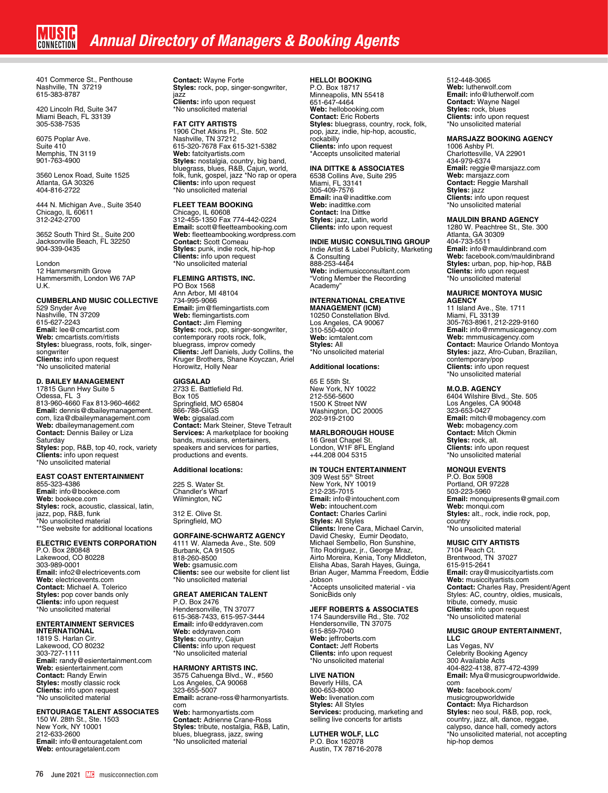401 Commerce St., Penthouse Nashville, TN 37219 615-383-8787

420 Lincoln Rd, Suite 347 Miami Beach, FL 33139 305-538-7535

6075 Poplar Ave. Suite 410 Memphis, TN 3119 901-763-4900

3560 Lenox Road, Suite 1525 Atlanta, GA 30326 404-816-2722

444 N. Michigan Ave., Suite 3540 Chicago, IL 60611 312-242-2700

3652 South Third St., Suite 200 Jacksonville Beach, FL 32250 904-339-0435

London 12 Hammersmith Grove Hammersmith, London W6 7AP U.K.

# **CUMBERLAND MUSIC COLLECTIVE**

529 Snyder Ave Nashville, TN 37209 615-627-2243 **Email:** lee@cmcartist.com **Web:** cmcartists.com/rtists **Styles:** bluegrass, roots, folk, singersongwriter **Clients:** info upon request \*No unsolicited material

# **D. BAILEY MANAGEMENT**

17815 Gunn Hwy Suite 5 Odessa, FL 3<br>813-960-4660 Fax 813-960-4662<br>**Email:** dennis@dbaileymanagement.<br>com, liza@dbaileymanagement.com **Web:** dbaileymanagement.com **Contact:** Dennis Bailey or Liza Saturday **Styles:** pop, R&B, top 40, rock, variety **Clients:** info upon request \*No unsolicited material

## **EAST COAST ENTERTAINMENT**

855-323-4386 **Email:** info@bookece.com **Web:** bookece.com **Styles:** rock, acoustic, classical, latin,<br>jazz, pop, R&B, funk<br>\*No unsolicited material \*\*See website for additional locations

## **ELECTRIC EVENTS CORPORATION**

P.O. Box 280848 Lakewood, CO 80228 303-989-0001 **Email:** info2@electricevents.com **Web:** electricevents.com **Contact:** Michael A. Tolerico **Styles:** pop cover bands only **Clients:** info upon request \*No unsolicited material

# **ENTERTAINMENT SERVICES INTERNATIONAL**

1819 S. Harlan Cir. Lakewood, CO 80232 303-727-1111 **Email:** randy@esientertainment.com **Web:** esientertainment.com **Contact:** Randy Erwin **Styles:** mostly classic rock **Clients:** info upon request \*No unsolicited material

**ENTOURAGE TALENT ASSOCIATES<br>150 W. 28th St., Ste. 1503<br>New York, NY 10001** 212-633-2600 **Email:** info@entouragetalent.com **Web:** entouragetalent.com

**Contact:** Wayne Forte **Styles:** rock, pop, singer-songwriter, jazz **Clients:** info upon request

**FAT CITY ARTISTS**  1906 Chet Atkins Pl., Ste. 502 Nashville, TN 37212 615-320-7678 Fax 615-321-5382 **Web:** fatcityartists.com **Styles:** nostalgia, country, big band,<br>bluegrass, blues, R&B, Cajun, world,<br>folk, funk, gospel, jazz \*No rap or opera<br>**Clients:** info upon request \*No unsolicited material

\*No unsolicited material

**FLEET TEAM BOOKING**<br>Chicago, IL 60608<br>312-455-1350 Fax 774-442-0224 **Email:** scott@fleetteambooking.com **Web:** fleetteambooking.wordpress.com **Contact:** Scott Comeau **Styles:** punk, indie rock, hip-hop **Clients:** info upon request \*No unsolicited material

## **FLEMING ARTISTS, INC.**

PO Box 1568 Ann Arbor, MI 48104 734-995-9066 **Email:** jim@flemingartists.com **Web:** flemingartists.com **Contact:** Jim Fleming **Styles:** rock, pop, singer-songwriter, contemporary roots rock, folk, bluegrass, improv comedy **Clients:** Jeff Daniels, Judy Collins, the Kruger Brothers, Shane Koyczan, Ariel Horowitz, Holly Near

# **GIGSALAD**

2733 E. Battlefield Rd. Box 105 Springfield, MO 65804 866-788-GIGS **Web:** gigsalad.com **Contact:** Mark Steiner, Steve Tetrault **Services:** A marketplace for booking bands, musicians, entertainers, speakers and services for parties, productions and events.

## **Additional locations:**

225 S. Water St. Chandler's Wharf Wilmington, NC

312 E. Olive St. Springfield, MO

### **GORFAINE-SCHWARTZ AGENCY**

4111 W. Alameda Ave., Ste. 509 Burbank, CA 91505 818-260-8500 **Web:** gsamusic.com **Clients:** see our website for client list \*No unsolicited material

# **GREAT AMERICAN TALENT**

P.O. Box 2476 Hendersonville, TN 37077 615-368-7433, 615-957-3444 **Email:** info@eddyraven.com **Web:** eddyraven.com **Styles:** country, Cajun **Clients:** info upon request \*No unsolicited material

# **HARMONY ARTISTS INC.**

3575 Cahuenga Blvd., W., #560 Los Angeles, CA 90068 323-655-5007 **Email:** acrane-ross@harmonyartists. com **Web:** harmonyartists.com **Contact:** Adrienne Crane-Ross

**Styles:** tribute, nostalgia, R&B, Latin, blues, bluegrass, jazz, swing \*No unsolicited material

# **HELLO! BOOKING**

P.O. Box 18717 Minneapolis, MN 55418 651-647-4464 **Web:** hellobooking.com **Contact:** Eric Roberts **Styles:** bluegrass, country, rock, folk, pop, jazz, indie, hip-hop, acoustic, rockabilly **Clients:** info upon request \*Accepts unsolicited material

# **INA DITTKE & ASSOCIATES**

6538 Collins Ave, Suite 295 Miami, FL 33141 305-409-7576 **Email:** ina@inadittke.com **Web:** inadittke.com **Contact:** Ina Dittke **Styles:** jazz, Latin, world **Clients:** info upon request

# **INDIE MUSIC CONSULTING GROUP** Indie Artist & Label Publicity, Marketing

& Consulting 888-253-4464 **Web:** indiemusicconsultant.com "Voting Member the Recording **Academy** 

# **INTERNATIONAL CREATIVE MANAGEMENT (ICM)**

10250 Constellation Blvd. Los Angeles, CA 90067 310-550-4000 **Web:** icmtalent.com **Styles:** All \*No unsolicited material

# **Additional locations:**

65 E 55th St. New York, NY 10022 212-556-5600 1500 K Street NW Washington, DC 20005 202-919-2100

# **MARLBOROUGH HOUSE**

16 Great Chapel St. London, W1F 8FL England +44.208 004 5315

# **IN TOUCH ENTERTAINMENT**

309 West 55th Street New York, NY 10019 212-235-7015 **Email:** info@intouchent.com **Web:** intouchent.com **Contact:** Charles Carlini **Styles:** All Styles **Clients:** Irene Cara, Michael Carvin, David Chesky, Eumir Deodato,<br>Michael Sembello, Ron Sunshine,<br>Tito Rodriguez, jr., George Mraz,<br>Airto Moreira, Kenia, Tony Middleton, Elisha Abas, Sarah Hayes, Guinga, Brian Auger, Mamma Freedom, Eddie Jobson \*Accepts unsolicited material - via SonicBids only

**JEFF ROBERTS & ASSOCIATES** 174 Saundersville Rd., Ste. 702 Hendersonville, TN 37075 615-859-7040 **Web:** jeffroberts.com **Contact:** Jeff Roberts **Clients:** info upon request \*No unsolicited material

**LIVE NATION**  Beverly Hills, CA 800-653-8000 **Web:** livenation.com **Styles:** All Styles **Services:** producing, marketing and selling live concerts for artists

**LUTHER WOLF, LLC** P.O. Box 162078 Austin, TX 78716-2078 512-448-3065 **Web:** lutherwolf.com **Email:** info@lutherwolf.com **Contact:** Wayne Nagel **Styles:** rock, blues **Clients:** info upon request \*No unsolicited material

# **MARSJAZZ BOOKING AGENCY**

1006 Ashby Pl. Charlottesville, VA 22901 434-979-6374 **Email:** reggie@marsjazz.com **Web:** marsjazz.com **Contact:** Reggie Marshall **Styles:** jazz **Clients:** info upon request \*No unsolicited material

### **MAULDIN BRAND AGENCY**

1280 W. Peachtree St., Ste. 300 Atlanta, GA 30309 404-733-5511 **Email:** info@mauldinbrand.com **Web:** facebook.com/mauldinbrand **Styles:** urban, pop, hip-hop, R&B **Clients:** info upon request \*No unsolicited material

# **MAURICE MONTOYA MUSIC AGENCY**

11 Island Ave., Ste. 1711 Miami, FL 33139 305-763-8961, 212-229-9160 **Email:** info@mmmusicagency.com **Web:** mmmusicagency.com **Contact:** Maurice Orlando Montoya **Styles:** jazz, Afro-Cuban, Brazilian, contemporary/pop **Clients:** info upon request \*No unsolicited material

### **M.O.B. AGENCY**

6404 Wilshire Blvd., Ste. 505 Los Angeles, CA 90048 323-653-0427 **Email:** mitch@mobagency.com **Web:** mobagency.com **Contact:** Mitch Okmin **Styles:** rock, alt. **Clients:** info upon request \*No unsolicited material

## **MONQUI EVENTS**

P.O. Box 5908 Portland, OR 97228 503-223-5960 **Email:** monquipresents@gmail.com **Web:** monqui.com **Styles:** alt., rock, indie rock, pop, country \*No unsolicited material

# **MUSIC CITY ARTISTS**

7104 Peach Ct. Brentwood, TN 37027 615-915-2641 **Email:** cray@musiccityartists.com **Web:** musiccityartists.com **Contact:** Charles Ray, President/Agent Styles: AC, country, oldies, musicals, tribute, comedy, music **Clients:** info upon request \*No unsolicited material

# **MUSIC GROUP ENTERTAINMENT,**

**LLC**  Las Vegas, NV Celebrity Booking Agency 300 Available Acts 404-822-4138, 877-472-4399 **Email:** Mya@musicgroupworldwide. com **Web:** facebook.com/ musicgroupworldwide **Contact:** Mya Richardson **Styles:** neo soul, R&B, pop, rock, country, jazz, alt, dance, reggae, calypso, dance hall, comedy actors \*No unsolicited material, not accepting hip-hop demos